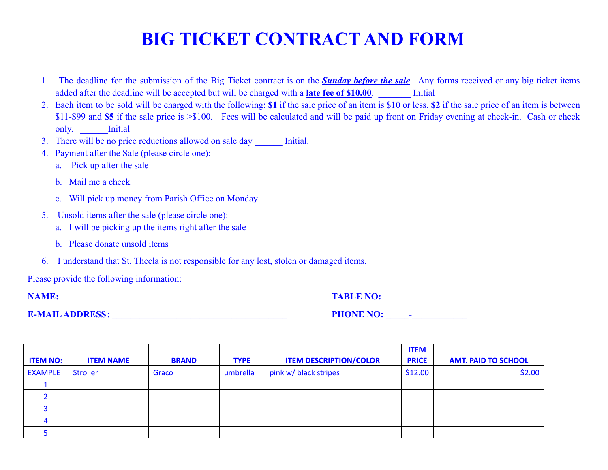## **BIG TICKET CONTRACT AND FORM**

- 1. The deadline for the submission of the Big Ticket contract is on the *Sunday before the sale*. Any forms received or any big ticket items added after the deadline will be accepted but will be charged with a **late fee of \$10.00**. Initial
- 2. Each item to be sold will be charged with the following: **\$1** if the sale price of an item is \$10 or less, **\$2** if the sale price of an item is between \$11-\$99 and **\$5** if the sale price is >\$100. Fees will be calculated and will be paid up front on Friday evening at check-in. Cash or check only. **Initial**
- 3. There will be no price reductions allowed on sale day **Initial.**
- 4. Payment after the Sale (please circle one):
	- a. Pick up after the sale
	- b. Mail me a check
	- c. Will pick up money from Parish Office on Monday
- 5. Unsold items after the sale (please circle one):
	- a. I will be picking up the items right after the sale
	- b. Please donate unsold items
- 6. I understand that St. Thecla is not responsible for any lost, stolen or damaged items.

Please provide the following information:

**NAME:** \_\_\_\_\_\_\_\_\_\_\_\_\_\_\_\_\_\_\_\_\_\_\_\_\_\_\_\_\_\_\_\_\_\_\_\_\_\_\_\_\_\_\_\_\_\_\_\_\_ **TABLE NO:** \_\_\_\_\_\_\_\_\_\_\_\_\_\_\_\_\_\_

**E-MAILADDRESS**: \_\_\_\_\_\_\_\_\_\_\_\_\_\_\_\_\_\_\_\_\_\_\_\_\_\_\_\_\_\_\_\_\_\_\_\_\_\_ **PHONE NO:** \_\_\_\_\_-\_\_\_\_\_\_\_\_\_\_\_\_

|                 |                  |              |             |                               | <b>ITEM</b>  |                            |
|-----------------|------------------|--------------|-------------|-------------------------------|--------------|----------------------------|
| <b>ITEM NO:</b> | <b>ITEM NAME</b> | <b>BRAND</b> | <b>TYPE</b> | <b>ITEM DESCRIPTION/COLOR</b> | <b>PRICE</b> | <b>AMT. PAID TO SCHOOL</b> |
| <b>EXAMPLE</b>  | <b>Stroller</b>  | Graco        | umbrella    | pink w/ black stripes         | \$12.00      | \$2.00                     |
|                 |                  |              |             |                               |              |                            |
|                 |                  |              |             |                               |              |                            |
|                 |                  |              |             |                               |              |                            |
|                 |                  |              |             |                               |              |                            |
|                 |                  |              |             |                               |              |                            |